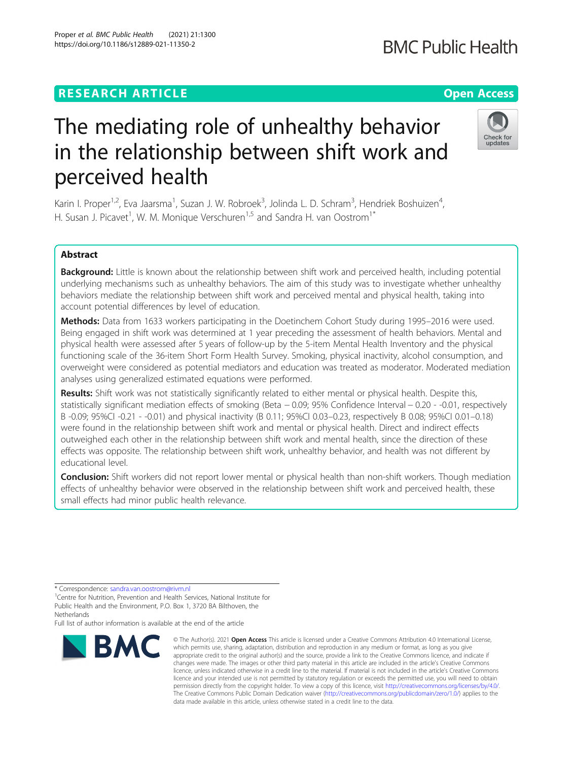# **RESEARCH ARTICLE Example 2014 12:30 The Contract of Contract ACCESS**

# The mediating role of unhealthy behavior in the relationship between shift work and perceived health

Karin I. Proper<sup>1,2</sup>, Eva Jaarsma<sup>1</sup>, Suzan J. W. Robroek<sup>3</sup>, Jolinda L. D. Schram<sup>3</sup>, Hendriek Boshuizen<sup>4</sup> , H. Susan J. Picavet<sup>1</sup>, W. M. Monique Verschuren<sup>1,5</sup> and Sandra H. van Oostrom<sup>1\*</sup>

# Abstract

Background: Little is known about the relationship between shift work and perceived health, including potential underlying mechanisms such as unhealthy behaviors. The aim of this study was to investigate whether unhealthy behaviors mediate the relationship between shift work and perceived mental and physical health, taking into account potential differences by level of education.

Methods: Data from 1633 workers participating in the Doetinchem Cohort Study during 1995–2016 were used. Being engaged in shift work was determined at 1 year preceding the assessment of health behaviors. Mental and physical health were assessed after 5 years of follow-up by the 5-item Mental Health Inventory and the physical functioning scale of the 36-item Short Form Health Survey. Smoking, physical inactivity, alcohol consumption, and overweight were considered as potential mediators and education was treated as moderator. Moderated mediation analyses using generalized estimated equations were performed.

Results: Shift work was not statistically significantly related to either mental or physical health. Despite this, statistically significant mediation effects of smoking (Beta − 0.09; 95% Confidence Interval − 0.20 - -0.01, respectively B -0.09; 95%CI -0.21 - -0.01) and physical inactivity (B 0.11; 95%CI 0.03–0.23, respectively B 0.08; 95%CI 0.01–0.18) were found in the relationship between shift work and mental or physical health. Direct and indirect effects outweighed each other in the relationship between shift work and mental health, since the direction of these effects was opposite. The relationship between shift work, unhealthy behavior, and health was not different by educational level.

Conclusion: Shift workers did not report lower mental or physical health than non-shift workers. Though mediation effects of unhealthy behavior were observed in the relationship between shift work and perceived health, these small effects had minor public health relevance.

**BMC** 

Full list of author information is available at the end of the article

#### © The Author(s), 2021 **Open Access** This article is licensed under a Creative Commons Attribution 4.0 International License, which permits use, sharing, adaptation, distribution and reproduction in any medium or format, as long as you give appropriate credit to the original author(s) and the source, provide a link to the Creative Commons licence, and indicate if changes were made. The images or other third party material in this article are included in the article's Creative Commons licence, unless indicated otherwise in a credit line to the material. If material is not included in the article's Creative Commons licence and your intended use is not permitted by statutory regulation or exceeds the permitted use, you will need to obtain permission directly from the copyright holder. To view a copy of this licence, visit [http://creativecommons.org/licenses/by/4.0/.](http://creativecommons.org/licenses/by/4.0/) The Creative Commons Public Domain Dedication waiver [\(http://creativecommons.org/publicdomain/zero/1.0/](http://creativecommons.org/publicdomain/zero/1.0/)) applies to the data made available in this article, unless otherwise stated in a credit line to the data.





<sup>\*</sup> Correspondence: [sandra.van.oostrom@rivm.nl](mailto:sandra.van.oostrom@rivm.nl) <sup>1</sup>

<sup>&</sup>lt;sup>1</sup>Centre for Nutrition, Prevention and Health Services, National Institute for Public Health and the Environment, P.O. Box 1, 3720 BA Bilthoven, the **Netherlands**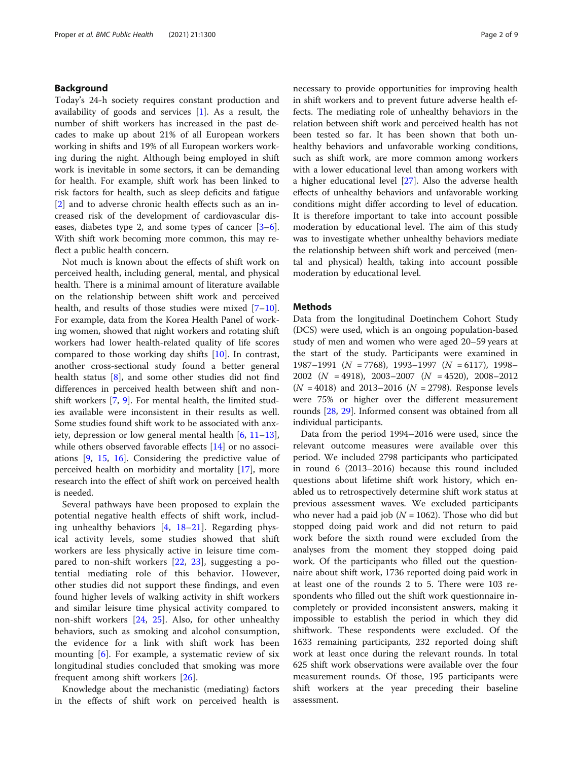# Background

Today's 24-h society requires constant production and availability of goods and services [[1\]](#page-7-0). As a result, the number of shift workers has increased in the past decades to make up about 21% of all European workers working in shifts and 19% of all European workers working during the night. Although being employed in shift work is inevitable in some sectors, it can be demanding for health. For example, shift work has been linked to risk factors for health, such as sleep deficits and fatigue [[2\]](#page-7-0) and to adverse chronic health effects such as an increased risk of the development of cardiovascular diseases, diabetes type 2, and some types of cancer [\[3](#page-7-0)–[6](#page-7-0)]. With shift work becoming more common, this may reflect a public health concern.

Not much is known about the effects of shift work on perceived health, including general, mental, and physical health. There is a minimal amount of literature available on the relationship between shift work and perceived health, and results of those studies were mixed [[7](#page-7-0)–[10](#page-7-0)]. For example, data from the Korea Health Panel of working women, showed that night workers and rotating shift workers had lower health-related quality of life scores compared to those working day shifts [\[10](#page-7-0)]. In contrast, another cross-sectional study found a better general health status [\[8](#page-7-0)], and some other studies did not find differences in perceived health between shift and nonshift workers [[7,](#page-7-0) [9](#page-7-0)]. For mental health, the limited studies available were inconsistent in their results as well. Some studies found shift work to be associated with anxiety, depression or low general mental health [\[6](#page-7-0), [11](#page-7-0)–[13](#page-7-0)], while others observed favorable effects [\[14](#page-7-0)] or no associations [\[9](#page-7-0), [15](#page-7-0), [16](#page-7-0)]. Considering the predictive value of perceived health on morbidity and mortality [\[17\]](#page-7-0), more research into the effect of shift work on perceived health is needed.

Several pathways have been proposed to explain the potential negative health effects of shift work, including unhealthy behaviors  $[4, 18-21]$  $[4, 18-21]$  $[4, 18-21]$  $[4, 18-21]$  $[4, 18-21]$  $[4, 18-21]$ . Regarding physical activity levels, some studies showed that shift workers are less physically active in leisure time compared to non-shift workers [[22,](#page-7-0) [23\]](#page-7-0), suggesting a potential mediating role of this behavior. However, other studies did not support these findings, and even found higher levels of walking activity in shift workers and similar leisure time physical activity compared to non-shift workers [\[24](#page-7-0), [25\]](#page-7-0). Also, for other unhealthy behaviors, such as smoking and alcohol consumption, the evidence for a link with shift work has been mounting [[6\]](#page-7-0). For example, a systematic review of six longitudinal studies concluded that smoking was more frequent among shift workers [\[26](#page-7-0)].

Knowledge about the mechanistic (mediating) factors in the effects of shift work on perceived health is necessary to provide opportunities for improving health in shift workers and to prevent future adverse health effects. The mediating role of unhealthy behaviors in the relation between shift work and perceived health has not been tested so far. It has been shown that both unhealthy behaviors and unfavorable working conditions, such as shift work, are more common among workers with a lower educational level than among workers with a higher educational level [\[27\]](#page-7-0). Also the adverse health effects of unhealthy behaviors and unfavorable working conditions might differ according to level of education. It is therefore important to take into account possible moderation by educational level. The aim of this study was to investigate whether unhealthy behaviors mediate the relationship between shift work and perceived (mental and physical) health, taking into account possible moderation by educational level.

#### Methods

Data from the longitudinal Doetinchem Cohort Study (DCS) were used, which is an ongoing population-based study of men and women who were aged 20–59 years at the start of the study. Participants were examined in 1987–1991 ( $N = 7768$ ), 1993–1997 ( $N = 6117$ ), 1998– 2002 ( $N = 4918$ ), 2003–2007 ( $N = 4520$ ), 2008–2012  $(N = 4018)$  and 2013–2016  $(N = 2798)$ . Response levels were 75% or higher over the different measurement rounds [[28](#page-7-0), [29\]](#page-7-0). Informed consent was obtained from all individual participants.

Data from the period 1994–2016 were used, since the relevant outcome measures were available over this period. We included 2798 participants who participated in round 6 (2013–2016) because this round included questions about lifetime shift work history, which enabled us to retrospectively determine shift work status at previous assessment waves. We excluded participants who never had a paid job ( $N = 1062$ ). Those who did but stopped doing paid work and did not return to paid work before the sixth round were excluded from the analyses from the moment they stopped doing paid work. Of the participants who filled out the questionnaire about shift work, 1736 reported doing paid work in at least one of the rounds 2 to 5. There were 103 respondents who filled out the shift work questionnaire incompletely or provided inconsistent answers, making it impossible to establish the period in which they did shiftwork. These respondents were excluded. Of the 1633 remaining participants, 232 reported doing shift work at least once during the relevant rounds. In total 625 shift work observations were available over the four measurement rounds. Of those, 195 participants were shift workers at the year preceding their baseline assessment.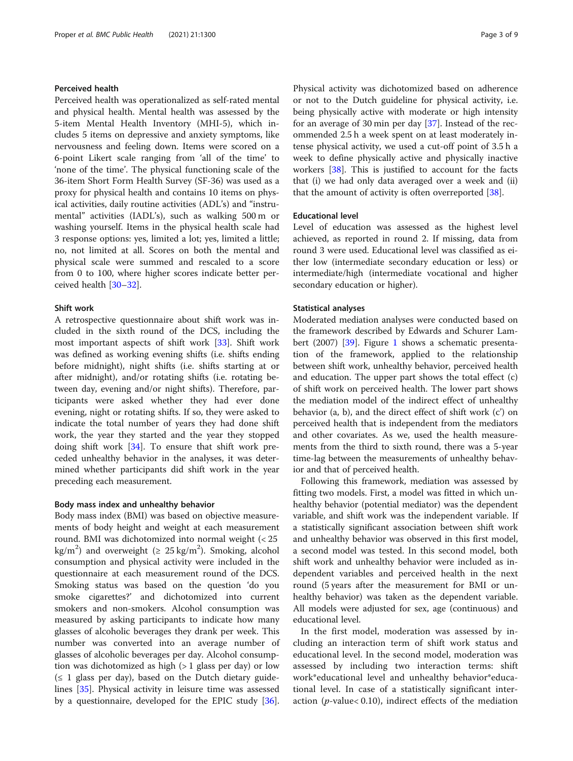# Perceived health

Perceived health was operationalized as self-rated mental and physical health. Mental health was assessed by the 5-item Mental Health Inventory (MHI-5), which includes 5 items on depressive and anxiety symptoms, like nervousness and feeling down. Items were scored on a 6-point Likert scale ranging from 'all of the time' to 'none of the time'. The physical functioning scale of the 36-item Short Form Health Survey (SF-36) was used as a proxy for physical health and contains 10 items on physical activities, daily routine activities (ADL's) and "instrumental" activities (IADL's), such as walking 500 m or washing yourself. Items in the physical health scale had 3 response options: yes, limited a lot; yes, limited a little; no, not limited at all. Scores on both the mental and physical scale were summed and rescaled to a score from 0 to 100, where higher scores indicate better perceived health [\[30](#page-7-0)–[32\]](#page-7-0).

#### Shift work

A retrospective questionnaire about shift work was included in the sixth round of the DCS, including the most important aspects of shift work [\[33\]](#page-8-0). Shift work was defined as working evening shifts (i.e. shifts ending before midnight), night shifts (i.e. shifts starting at or after midnight), and/or rotating shifts (i.e. rotating between day, evening and/or night shifts). Therefore, participants were asked whether they had ever done evening, night or rotating shifts. If so, they were asked to indicate the total number of years they had done shift work, the year they started and the year they stopped doing shift work [[34\]](#page-8-0). To ensure that shift work preceded unhealthy behavior in the analyses, it was determined whether participants did shift work in the year preceding each measurement.

### Body mass index and unhealthy behavior

Body mass index (BMI) was based on objective measurements of body height and weight at each measurement round. BMI was dichotomized into normal weight (< 25 kg/m<sup>2</sup>) and overweight ( $\geq 25$  kg/m<sup>2</sup>). Smoking, alcohol consumption and physical activity were included in the questionnaire at each measurement round of the DCS. Smoking status was based on the question 'do you smoke cigarettes?' and dichotomized into current smokers and non-smokers. Alcohol consumption was measured by asking participants to indicate how many glasses of alcoholic beverages they drank per week. This number was converted into an average number of glasses of alcoholic beverages per day. Alcohol consumption was dichotomized as high  $(> 1$  glass per day) or low  $(\leq 1)$  glass per day), based on the Dutch dietary guidelines [[35\]](#page-8-0). Physical activity in leisure time was assessed by a questionnaire, developed for the EPIC study [\[36](#page-8-0)]. Physical activity was dichotomized based on adherence or not to the Dutch guideline for physical activity, i.e. being physically active with moderate or high intensity for an average of 30 min per day  $[37]$  $[37]$  $[37]$ . Instead of the recommended 2.5 h a week spent on at least moderately intense physical activity, we used a cut-off point of 3.5 h a week to define physically active and physically inactive workers [\[38\]](#page-8-0). This is justified to account for the facts that (i) we had only data averaged over a week and (ii) that the amount of activity is often overreported [[38\]](#page-8-0).

# Educational level

Level of education was assessed as the highest level achieved, as reported in round 2. If missing, data from round 3 were used. Educational level was classified as either low (intermediate secondary education or less) or intermediate/high (intermediate vocational and higher secondary education or higher).

#### Statistical analyses

Moderated mediation analyses were conducted based on the framework described by Edwards and Schurer Lam-bert (2007) [[39\]](#page-8-0). Figure [1](#page-3-0) shows a schematic presentation of the framework, applied to the relationship between shift work, unhealthy behavior, perceived health and education. The upper part shows the total effect (c) of shift work on perceived health. The lower part shows the mediation model of the indirect effect of unhealthy behavior (a, b), and the direct effect of shift work (c') on perceived health that is independent from the mediators and other covariates. As we, used the health measurements from the third to sixth round, there was a 5-year time-lag between the measurements of unhealthy behavior and that of perceived health.

Following this framework, mediation was assessed by fitting two models. First, a model was fitted in which unhealthy behavior (potential mediator) was the dependent variable, and shift work was the independent variable. If a statistically significant association between shift work and unhealthy behavior was observed in this first model, a second model was tested. In this second model, both shift work and unhealthy behavior were included as independent variables and perceived health in the next round (5 years after the measurement for BMI or unhealthy behavior) was taken as the dependent variable. All models were adjusted for sex, age (continuous) and educational level.

In the first model, moderation was assessed by including an interaction term of shift work status and educational level. In the second model, moderation was assessed by including two interaction terms: shift work\*educational level and unhealthy behavior\*educational level. In case of a statistically significant interaction ( $p$ -value< 0.10), indirect effects of the mediation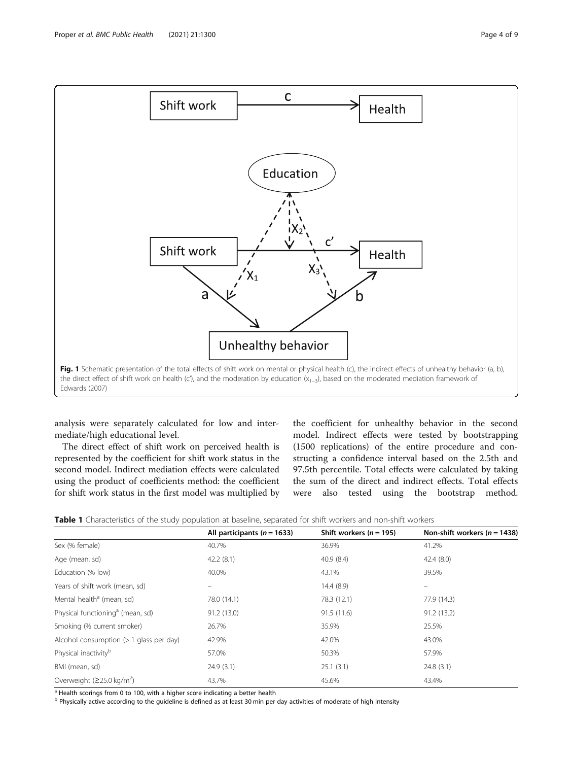<span id="page-3-0"></span>

analysis were separately calculated for low and intermediate/high educational level.

The direct effect of shift work on perceived health is represented by the coefficient for shift work status in the second model. Indirect mediation effects were calculated using the product of coefficients method: the coefficient for shift work status in the first model was multiplied by

the coefficient for unhealthy behavior in the second model. Indirect effects were tested by bootstrapping (1500 replications) of the entire procedure and constructing a confidence interval based on the 2.5th and 97.5th percentile. Total effects were calculated by taking the sum of the direct and indirect effects. Total effects were also tested using the bootstrap method.

| , , , ,                                      |                                 |                           |                                  |
|----------------------------------------------|---------------------------------|---------------------------|----------------------------------|
|                                              | All participants ( $n = 1633$ ) | Shift workers $(n = 195)$ | Non-shift workers ( $n = 1438$ ) |
| Sex (% female)                               | 40.7%                           | 36.9%                     | 41.2%                            |
| Age (mean, sd)                               | 42.2(8.1)                       | 40.9(8.4)                 | 42.4(8.0)                        |
| Education (% low)                            | 40.0%                           | 43.1%                     | 39.5%                            |
| Years of shift work (mean, sd)               |                                 | 14.4(8.9)                 |                                  |
| Mental health <sup>a</sup> (mean, sd)        | 78.0 (14.1)                     | 78.3 (12.1)               | 77.9 (14.3)                      |
| Physical functioning <sup>a</sup> (mean, sd) | 91.2 (13.0)                     | 91.5(11.6)                | 91.2(13.2)                       |
| Smoking (% current smoker)                   | 26.7%                           | 35.9%                     | 25.5%                            |
| Alcohol consumption $(>1$ glass per day)     | 42.9%                           | 42.0%                     | 43.0%                            |
| Physical inactivity <sup>b</sup>             | 57.0%                           | 50.3%                     | 57.9%                            |
| BMI (mean, sd)                               | 24.9(3.1)                       | 25.1(3.1)                 | 24.8(3.1)                        |
| Overweight ( $\geq$ 25.0 kg/m <sup>2</sup> ) | 43.7%                           | 45.6%                     | 43.4%                            |
|                                              |                                 |                           |                                  |

 $a$  Health scorings from 0 to 100, with a higher score indicating a better health

<sup>b</sup> Physically active according to the guideline is defined as at least 30 min per day activities of moderate of high intensity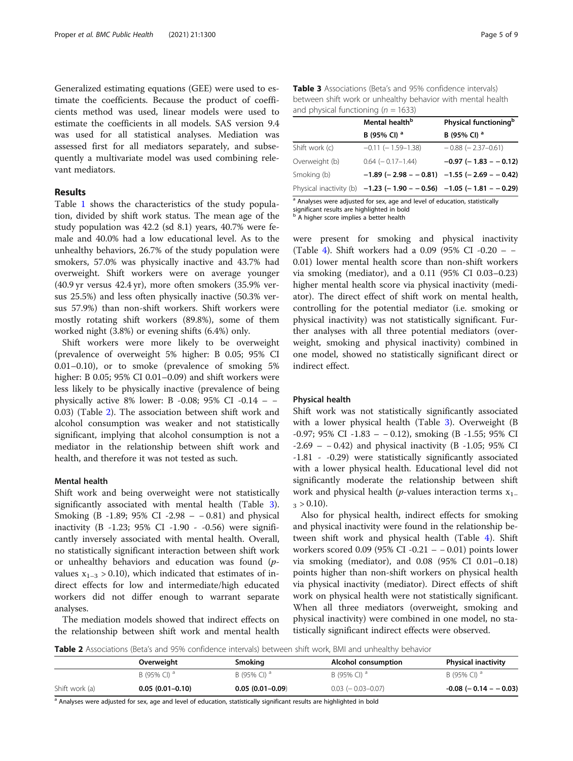Generalized estimating equations (GEE) were used to estimate the coefficients. Because the product of coefficients method was used, linear models were used to estimate the coefficients in all models. SAS version 9.4 was used for all statistical analyses. Mediation was assessed first for all mediators separately, and subsequently a multivariate model was used combining relevant mediators.

# Results

Table [1](#page-3-0) shows the characteristics of the study population, divided by shift work status. The mean age of the study population was 42.2 (sd 8.1) years, 40.7% were female and 40.0% had a low educational level. As to the unhealthy behaviors, 26.7% of the study population were smokers, 57.0% was physically inactive and 43.7% had overweight. Shift workers were on average younger (40.9 yr versus 42.4 yr), more often smokers (35.9% versus 25.5%) and less often physically inactive (50.3% versus 57.9%) than non-shift workers. Shift workers were mostly rotating shift workers (89.8%), some of them worked night (3.8%) or evening shifts (6.4%) only.

Shift workers were more likely to be overweight (prevalence of overweight 5% higher: B 0.05; 95% CI 0.01–0.10), or to smoke (prevalence of smoking 5% higher: B 0.05; 95% CI 0.01–0.09) and shift workers were less likely to be physically inactive (prevalence of being physically active 8% lower: B -0.08; 95% CI -0.14 – – 0.03) (Table 2). The association between shift work and alcohol consumption was weaker and not statistically significant, implying that alcohol consumption is not a mediator in the relationship between shift work and health, and therefore it was not tested as such.

#### Mental health

Shift work and being overweight were not statistically significantly associated with mental health (Table 3). Smoking (B -1.89; 95% CI -2.98 – − 0.81) and physical inactivity (B -1.23; 95% CI -1.90 - -0.56) were significantly inversely associated with mental health. Overall, no statistically significant interaction between shift work or unhealthy behaviors and education was found (pvalues  $x_{1-3} > 0.10$ , which indicated that estimates of indirect effects for low and intermediate/high educated workers did not differ enough to warrant separate analyses.

The mediation models showed that indirect effects on the relationship between shift work and mental health

Table 3 Associations (Beta's and 95% confidence intervals) between shift work or unhealthy behavior with mental health and physical functioning ( $n = 1633$ )

| Mental health <sup>b</sup> | Physical functioning <sup>b</sup>                                     |  |  |  |
|----------------------------|-----------------------------------------------------------------------|--|--|--|
| B (95% CI) <sup>a</sup>    | B (95% CI) <sup>a</sup>                                               |  |  |  |
| $-0.11$ ( $-1.59-1.38$ )   | $-0.88$ ( $-2.37-0.61$ )                                              |  |  |  |
| $0.64$ ( $-0.17-1.44$ )    | $-0.97$ ( $-1.83 - 0.12$ )                                            |  |  |  |
|                            | $-1.89$ (-2.98 - -0.81) -1.55 (-2.69 - -0.42)                         |  |  |  |
|                            | Physical inactivity (b) $-1.23$ (-1.90 - -0.56) -1.05 (-1.81 - -0.29) |  |  |  |
|                            |                                                                       |  |  |  |

 $\frac{a}{a}$  Analyses were adjusted for sex, age and level of education, statistically

significant results are highlighted in bold **b** A higher score implies a better health

were present for smoking and physical inactivity (Table [4\)](#page-5-0). Shift workers had a 0.09 (95% CI -0.20 – − 0.01) lower mental health score than non-shift workers via smoking (mediator), and a 0.11 (95% CI 0.03–0.23) higher mental health score via physical inactivity (mediator). The direct effect of shift work on mental health, controlling for the potential mediator (i.e. smoking or physical inactivity) was not statistically significant. Further analyses with all three potential mediators (overweight, smoking and physical inactivity) combined in one model, showed no statistically significant direct or indirect effect.

#### Physical health

Shift work was not statistically significantly associated with a lower physical health (Table 3). Overweight (B -0.97; 95% CI -1.83 – − 0.12), smoking (B -1.55; 95% CI -2.69 – − 0.42) and physical inactivity (B -1.05; 95% CI -1.81 - -0.29) were statistically significantly associated with a lower physical health. Educational level did not significantly moderate the relationship between shift work and physical health (*p*-values interaction terms  $x_{1-}$  $_3 > 0.10$ .

Also for physical health, indirect effects for smoking and physical inactivity were found in the relationship between shift work and physical health (Table [4\)](#page-5-0). Shift workers scored 0.09 (95% CI -0.21 – − 0.01) points lower via smoking (mediator), and 0.08 (95% CI 0.01–0.18) points higher than non-shift workers on physical health via physical inactivity (mediator). Direct effects of shift work on physical health were not statistically significant. When all three mediators (overweight, smoking and physical inactivity) were combined in one model, no statistically significant indirect effects were observed.

Table 2 Associations (Beta's and 95% confidence intervals) between shift work, BMI and unhealthy behavior

|                | Overweight              | Smoking                 | Alcohol consumption       | <b>Physical inactivity</b>   |
|----------------|-------------------------|-------------------------|---------------------------|------------------------------|
|                | B (95% CI) <sup>d</sup> | B (95% CI) <sup>d</sup> | B (95% CI) <sup>d</sup>   | B (95% CI) <sup>d</sup>      |
| Shift work (a) | $0.05(0.01-0.10)$       | $0.05(0.01 - 0.09)$     | $0.03$ ( $-0.03 - 0.07$ ) | $-0.08$ ( $-0.14$ $ -0.03$ ) |

<sup>a</sup> Analyses were adjusted for sex, age and level of education, statistically significant results are highlighted in bold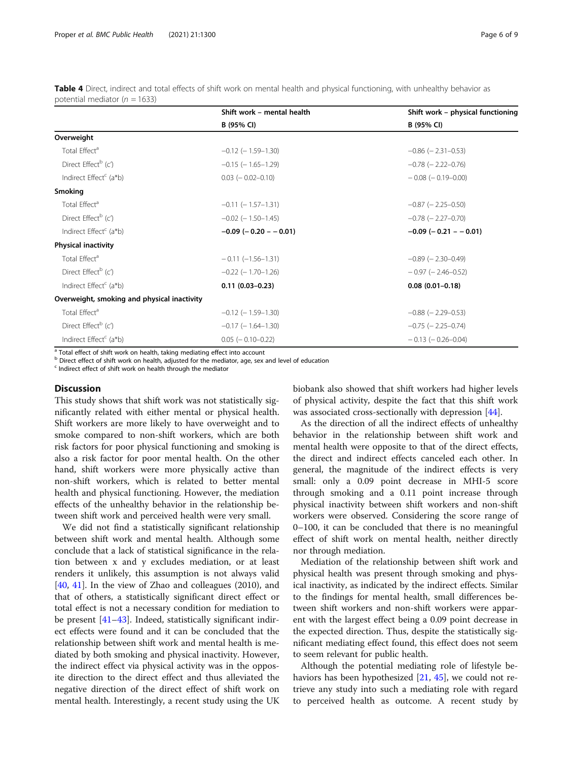<span id="page-5-0"></span>

| Table 4 Direct, indirect and total effects of shift work on mental health and physical functioning, with unhealthy behavior as |  |  |  |  |  |  |  |
|--------------------------------------------------------------------------------------------------------------------------------|--|--|--|--|--|--|--|
| potential mediator ( $n = 1633$ )                                                                                              |  |  |  |  |  |  |  |

|                                             | Shift work - mental health | Shift work - physical functioning |  |  |  |  |
|---------------------------------------------|----------------------------|-----------------------------------|--|--|--|--|
|                                             | B (95% CI)                 | B (95% CI)                        |  |  |  |  |
| Overweight                                  |                            |                                   |  |  |  |  |
| Total Effect <sup>a</sup>                   | $-0.12$ ( $-1.59-1.30$ )   | $-0.86$ ( $-2.31-0.53$ )          |  |  |  |  |
| Direct Effect <sup>b</sup> (c')             | $-0.15$ ( $-1.65-1.29$ )   | $-0.78$ ( $-2.22-0.76$ )          |  |  |  |  |
| Indirect Effect <sup>c</sup> (a*b)          | $0.03$ ( $-0.02 - 0.10$ )  | $-0.08$ ( $-0.19-0.00$ )          |  |  |  |  |
| <b>Smoking</b>                              |                            |                                   |  |  |  |  |
| Total Effect <sup>a</sup>                   | $-0.11$ ( $-1.57-1.31$ )   | $-0.87$ ( $-2.25-0.50$ )          |  |  |  |  |
| Direct Effect <sup>b</sup> (c')             | $-0.02$ ( $-1.50-1.45$ )   | $-0.78$ ( $-2.27-0.70$ )          |  |  |  |  |
| Indirect Effect <sup>c</sup> (a*b)          | $-0.09$ ( $-0.20 - 0.01$ ) | $-0.09$ ( $-0.21$ $-0.01$ )       |  |  |  |  |
| <b>Physical inactivity</b>                  |                            |                                   |  |  |  |  |
| Total Effect <sup>a</sup>                   | $-0.11(-1.56-1.31)$        | $-0.89$ ( $-2.30-0.49$ )          |  |  |  |  |
| Direct Effect <sup>b</sup> (c')             | $-0.22$ ( $-1.70-1.26$ )   | $-0.97$ ( $-2.46 - 0.52$ )        |  |  |  |  |
| Indirect Effect <sup>c</sup> (a*b)          | $0.11(0.03 - 0.23)$        | $0.08(0.01 - 0.18)$               |  |  |  |  |
| Overweight, smoking and physical inactivity |                            |                                   |  |  |  |  |
| Total Effect <sup>a</sup>                   | $-0.12$ ( $-1.59-1.30$ )   | $-0.88$ ( $-2.29-0.53$ )          |  |  |  |  |
| Direct Effect <sup>b</sup> (c')             | $-0.17$ ( $-1.64-1.30$ )   | $-0.75$ ( $-2.25-0.74$ )          |  |  |  |  |
| Indirect Effect <sup>c</sup> (a*b)          | $0.05$ ( $-0.10 - 0.22$ )  | $-0.13$ ( $-0.26 - 0.04$ )        |  |  |  |  |

<sup>a</sup> Total effect of shift work on health, taking mediating effect into account

b Direct effect of shift work on health, adjusted for the mediator, age, sex and level of education

 $c$  Indirect effect of shift work on health through the mediator

# **Discussion**

This study shows that shift work was not statistically significantly related with either mental or physical health. Shift workers are more likely to have overweight and to smoke compared to non-shift workers, which are both risk factors for poor physical functioning and smoking is also a risk factor for poor mental health. On the other hand, shift workers were more physically active than non-shift workers, which is related to better mental health and physical functioning. However, the mediation effects of the unhealthy behavior in the relationship between shift work and perceived health were very small.

We did not find a statistically significant relationship between shift work and mental health. Although some conclude that a lack of statistical significance in the relation between x and y excludes mediation, or at least renders it unlikely, this assumption is not always valid [[40,](#page-8-0) [41](#page-8-0)]. In the view of Zhao and colleagues (2010), and that of others, a statistically significant direct effect or total effect is not a necessary condition for mediation to be present [\[41](#page-8-0)–[43\]](#page-8-0). Indeed, statistically significant indirect effects were found and it can be concluded that the relationship between shift work and mental health is mediated by both smoking and physical inactivity. However, the indirect effect via physical activity was in the opposite direction to the direct effect and thus alleviated the negative direction of the direct effect of shift work on mental health. Interestingly, a recent study using the UK biobank also showed that shift workers had higher levels of physical activity, despite the fact that this shift work was associated cross-sectionally with depression [\[44](#page-8-0)].

As the direction of all the indirect effects of unhealthy behavior in the relationship between shift work and mental health were opposite to that of the direct effects, the direct and indirect effects canceled each other. In general, the magnitude of the indirect effects is very small: only a 0.09 point decrease in MHI-5 score through smoking and a 0.11 point increase through physical inactivity between shift workers and non-shift workers were observed. Considering the score range of 0–100, it can be concluded that there is no meaningful effect of shift work on mental health, neither directly nor through mediation.

Mediation of the relationship between shift work and physical health was present through smoking and physical inactivity, as indicated by the indirect effects. Similar to the findings for mental health, small differences between shift workers and non-shift workers were apparent with the largest effect being a 0.09 point decrease in the expected direction. Thus, despite the statistically significant mediating effect found, this effect does not seem to seem relevant for public health.

Although the potential mediating role of lifestyle behaviors has been hypothesized [\[21,](#page-7-0) [45](#page-8-0)], we could not retrieve any study into such a mediating role with regard to perceived health as outcome. A recent study by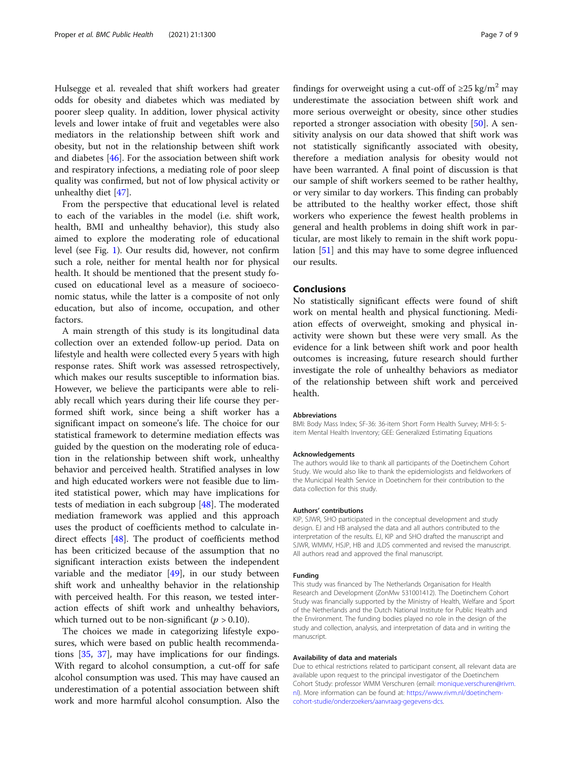Hulsegge et al. revealed that shift workers had greater odds for obesity and diabetes which was mediated by poorer sleep quality. In addition, lower physical activity levels and lower intake of fruit and vegetables were also mediators in the relationship between shift work and obesity, but not in the relationship between shift work and diabetes [[46\]](#page-8-0). For the association between shift work and respiratory infections, a mediating role of poor sleep quality was confirmed, but not of low physical activity or unhealthy diet [\[47](#page-8-0)].

From the perspective that educational level is related to each of the variables in the model (i.e. shift work, health, BMI and unhealthy behavior), this study also aimed to explore the moderating role of educational level (see Fig. [1\)](#page-3-0). Our results did, however, not confirm such a role, neither for mental health nor for physical health. It should be mentioned that the present study focused on educational level as a measure of socioeconomic status, while the latter is a composite of not only education, but also of income, occupation, and other factors.

A main strength of this study is its longitudinal data collection over an extended follow-up period. Data on lifestyle and health were collected every 5 years with high response rates. Shift work was assessed retrospectively, which makes our results susceptible to information bias. However, we believe the participants were able to reliably recall which years during their life course they performed shift work, since being a shift worker has a significant impact on someone's life. The choice for our statistical framework to determine mediation effects was guided by the question on the moderating role of education in the relationship between shift work, unhealthy behavior and perceived health. Stratified analyses in low and high educated workers were not feasible due to limited statistical power, which may have implications for tests of mediation in each subgroup [[48](#page-8-0)]. The moderated mediation framework was applied and this approach uses the product of coefficients method to calculate indirect effects [\[48](#page-8-0)]. The product of coefficients method has been criticized because of the assumption that no significant interaction exists between the independent variable and the mediator [[49\]](#page-8-0), in our study between shift work and unhealthy behavior in the relationship with perceived health. For this reason, we tested interaction effects of shift work and unhealthy behaviors, which turned out to be non-significant ( $p > 0.10$ ).

The choices we made in categorizing lifestyle exposures, which were based on public health recommendations [[35](#page-8-0), [37](#page-8-0)], may have implications for our findings. With regard to alcohol consumption, a cut-off for safe alcohol consumption was used. This may have caused an underestimation of a potential association between shift work and more harmful alcohol consumption. Also the findings for overweight using a cut-off of  $\geq 25 \text{ kg/m}^2$  may underestimate the association between shift work and more serious overweight or obesity, since other studies reported a stronger association with obesity [[50](#page-8-0)]. A sensitivity analysis on our data showed that shift work was not statistically significantly associated with obesity, therefore a mediation analysis for obesity would not have been warranted. A final point of discussion is that our sample of shift workers seemed to be rather healthy, or very similar to day workers. This finding can probably be attributed to the healthy worker effect, those shift workers who experience the fewest health problems in general and health problems in doing shift work in particular, are most likely to remain in the shift work population [\[51](#page-8-0)] and this may have to some degree influenced our results.

## **Conclusions**

No statistically significant effects were found of shift work on mental health and physical functioning. Mediation effects of overweight, smoking and physical inactivity were shown but these were very small. As the evidence for a link between shift work and poor health outcomes is increasing, future research should further investigate the role of unhealthy behaviors as mediator of the relationship between shift work and perceived health.

#### Abbreviations

BMI: Body Mass Index; SF-36: 36-item Short Form Health Survey; MHI-5: 5 item Mental Health Inventory; GEE: Generalized Estimating Equations

#### Acknowledgements

The authors would like to thank all participants of the Doetinchem Cohort Study. We would also like to thank the epidemiologists and fieldworkers of the Municipal Health Service in Doetinchem for their contribution to the data collection for this study.

#### Authors' contributions

KIP, SJWR, SHO participated in the conceptual development and study design. EJ and HB analysed the data and all authors contributed to the interpretation of the results. EJ, KIP and SHO drafted the manuscript and SJWR, WMMV, HSJP, HB and JLDS commented and revised the manuscript. All authors read and approved the final manuscript.

#### Funding

This study was financed by The Netherlands Organisation for Health Research and Development (ZonMw 531001412). The Doetinchem Cohort Study was financially supported by the Ministry of Health, Welfare and Sport of the Netherlands and the Dutch National Institute for Public Health and the Environment. The funding bodies played no role in the design of the study and collection, analysis, and interpretation of data and in writing the manuscript.

#### Availability of data and materials

Due to ethical restrictions related to participant consent, all relevant data are available upon request to the principal investigator of the Doetinchem Cohort Study: professor WMM Verschuren (email: [monique.verschuren@rivm.](mailto:monique.verschuren@rivm.nl) [nl](mailto:monique.verschuren@rivm.nl)). More information can be found at: [https://www.rivm.nl/doetinchem](https://www.rivm.nl/doetinchem-cohort-studie/onderzoekers/aanvraag-gegevens-dcs)[cohort-studie/onderzoekers/aanvraag-gegevens-dcs.](https://www.rivm.nl/doetinchem-cohort-studie/onderzoekers/aanvraag-gegevens-dcs)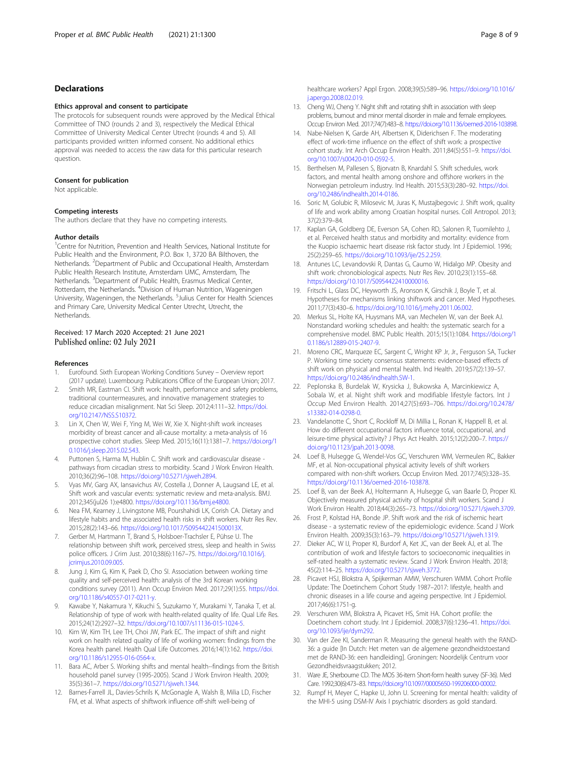# <span id="page-7-0"></span>Declarations

#### Ethics approval and consent to participate

The protocols for subsequent rounds were approved by the Medical Ethical Committee of TNO (rounds 2 and 3), respectively the Medical Ethical Committee of University Medical Center Utrecht (rounds 4 and 5). All participants provided written informed consent. No additional ethics approval was needed to access the raw data for this particular research question.

#### Consent for publication

Not applicable.

#### Competing interests

The authors declare that they have no competing interests.

#### Author details

<sup>1</sup>Centre for Nutrition, Prevention and Health Services, National Institute for Public Health and the Environment, P.O. Box 1, 3720 BA Bilthoven, the Netherlands. <sup>2</sup>Department of Public and Occupational Health, Amsterdam Public Health Research Institute, Amsterdam UMC, Amsterdam, The Netherlands. <sup>3</sup>Department of Public Health, Erasmus Medical Center, Rotterdam, the Netherlands. <sup>4</sup>Division of Human Nutrition, Wageningen University, Wageningen, the Netherlands. <sup>5</sup>Julius Center for Health Sciences and Primary Care, University Medical Center Utrecht, Utrecht, the **Netherlands** 

#### Received: 17 March 2020 Accepted: 21 June 2021 Published online: 02 July 2021

#### References

- 1. Eurofound. Sixth European Working Conditions Survey Overview report (2017 update). Luxembourg: Publications Office of the European Union; 2017.
- 2. Smith MR, Eastman CI. Shift work: health, performance and safety problems, traditional countermeasures, and innovative management strategies to reduce circadian misalignment. Nat Sci Sleep. 2012;4:111–32. [https://doi.](https://doi.org/10.2147/NSS.S10372) [org/10.2147/NSS.S10372.](https://doi.org/10.2147/NSS.S10372)
- 3. Lin X, Chen W, Wei F, Ying M, Wei W, Xie X. Night-shift work increases morbidity of breast cancer and all-cause mortality: a meta-analysis of 16 prospective cohort studies. Sleep Med. 2015;16(11):1381–7. [https://doi.org/1](https://doi.org/10.1016/j.sleep.2015.02.543) [0.1016/j.sleep.2015.02.543](https://doi.org/10.1016/j.sleep.2015.02.543).
- 4. Puttonen S, Harma M, Hublin C. Shift work and cardiovascular disease pathways from circadian stress to morbidity. Scand J Work Environ Health. 2010;36(2):96–108. <https://doi.org/10.5271/sjweh.2894>.
- 5. Vyas MV, Garg AX, Iansavichus AV, Costella J, Donner A, Laugsand LE, et al. Shift work and vascular events: systematic review and meta-analysis. BMJ. 2012;345(jul26 1):e4800. [https://doi.org/10.1136/bmj.e4800.](https://doi.org/10.1136/bmj.e4800)
- 6. Nea FM, Kearney J, Livingstone MB, Pourshahidi LK, Corish CA. Dietary and lifestyle habits and the associated health risks in shift workers. Nutr Res Rev. 2015;28(2):143–66. <https://doi.org/10.1017/S095442241500013X>.
- 7. Gerber M, Hartmann T, Brand S, Holsboer-Trachsler E, Pühse U. The relationship between shift work, perceived stress, sleep and health in Swiss police officers. J Crim Just. 2010;38(6):1167–75. [https://doi.org/10.1016/j.](https://doi.org/10.1016/j.jcrimjus.2010.09.005) [jcrimjus.2010.09.005.](https://doi.org/10.1016/j.jcrimjus.2010.09.005)
- 8. Jung J, Kim G, Kim K, Paek D, Cho SI. Association between working time quality and self-perceived health: analysis of the 3rd Korean working conditions survey (2011). Ann Occup Environ Med. 2017;29(1):55. [https://doi.](https://doi.org/10.1186/s40557-017-0211-y) [org/10.1186/s40557-017-0211-y.](https://doi.org/10.1186/s40557-017-0211-y)
- Kawabe Y, Nakamura Y, Kikuchi S, Suzukamo Y, Murakami Y, Tanaka T, et al. Relationship of type of work with health-related quality of life. Qual Life Res. 2015;24(12):2927–32. [https://doi.org/10.1007/s11136-015-1024-5.](https://doi.org/10.1007/s11136-015-1024-5)
- 10. Kim W, Kim TH, Lee TH, Choi JW, Park EC. The impact of shift and night work on health related quality of life of working women: findings from the Korea health panel. Health Qual Life Outcomes. 2016;14(1):162. [https://doi.](https://doi.org/10.1186/s12955-016-0564-x) [org/10.1186/s12955-016-0564-x.](https://doi.org/10.1186/s12955-016-0564-x)
- 11. Bara AC, Arber S. Working shifts and mental health--findings from the British household panel survey (1995-2005). Scand J Work Environ Health. 2009; 35(5):361–7. [https://doi.org/10.5271/sjweh.1344.](https://doi.org/10.5271/sjweh.1344)
- 12. Barnes-Farrell JL, Davies-Schrils K, McGonagle A, Walsh B, Milia LD, Fischer FM, et al. What aspects of shiftwork influence off-shift well-being of

healthcare workers? Appl Ergon. 2008;39(5):589–96. [https://doi.org/10.1016/](https://doi.org/10.1016/j.apergo.2008.02.019) [j.apergo.2008.02.019.](https://doi.org/10.1016/j.apergo.2008.02.019)

- 13. Cheng WJ, Cheng Y. Night shift and rotating shift in association with sleep problems, burnout and minor mental disorder in male and female employees. Occup Environ Med. 2017;74(7):483–8. [https://doi.org/10.1136/oemed-2016-103898.](https://doi.org/10.1136/oemed-2016-103898)
- 14. Nabe-Nielsen K, Garde AH, Albertsen K, Diderichsen F. The moderating effect of work-time influence on the effect of shift work: a prospective cohort study. Int Arch Occup Environ Health. 2011;84(5):551–9. [https://doi.](https://doi.org/10.1007/s00420-010-0592-5) [org/10.1007/s00420-010-0592-5](https://doi.org/10.1007/s00420-010-0592-5).
- 15. Berthelsen M, Pallesen S, Bjorvatn B, Knardahl S. Shift schedules, work factors, and mental health among onshore and offshore workers in the Norwegian petroleum industry. Ind Health. 2015;53(3):280–92. [https://doi.](https://doi.org/10.2486/indhealth.2014-0186) [org/10.2486/indhealth.2014-0186.](https://doi.org/10.2486/indhealth.2014-0186)
- 16. Soric M, Golubic R, Milosevic M, Juras K, Mustajbegovic J. Shift work, quality of life and work ability among Croatian hospital nurses. Coll Antropol. 2013; 37(2):379–84.
- 17. Kaplan GA, Goldberg DE, Everson SA, Cohen RD, Salonen R, Tuomilehto J, et al. Perceived health status and morbidity and mortality: evidence from the Kuopio ischaemic heart disease risk factor study. Int J Epidemiol. 1996; 25(2):259–65. [https://doi.org/10.1093/ije/25.2.259.](https://doi.org/10.1093/ije/25.2.259)
- 18. Antunes LC, Levandovski R, Dantas G, Caumo W, Hidalgo MP. Obesity and shift work: chronobiological aspects. Nutr Res Rev. 2010;23(1):155–68. [https://doi.org/10.1017/S0954422410000016.](https://doi.org/10.1017/S0954422410000016)
- 19. Fritschi L, Glass DC, Heyworth JS, Aronson K, Girschik J, Boyle T, et al. Hypotheses for mechanisms linking shiftwork and cancer. Med Hypotheses. 2011;77(3):430–6. [https://doi.org/10.1016/j.mehy.2011.06.002.](https://doi.org/10.1016/j.mehy.2011.06.002)
- 20. Merkus SL, Holte KA, Huysmans MA, van Mechelen W, van der Beek AJ. Nonstandard working schedules and health: the systematic search for a comprehensive model. BMC Public Health. 2015;15(1):1084. [https://doi.org/1](https://doi.org/10.1186/s12889-015-2407-9) [0.1186/s12889-015-2407-9.](https://doi.org/10.1186/s12889-015-2407-9)
- 21. Moreno CRC, Marqueze EC, Sargent C, Wright KP Jr, Jr., Ferguson SA, Tucker P. Working time society consensus statements: evidence-based effects of shift work on physical and mental health. Ind Health. 2019;57(2):139–57. [https://doi.org/10.2486/indhealth.SW-1.](https://doi.org/10.2486/indhealth.SW-1)
- 22. Peplonska B, Burdelak W, Krysicka J, Bukowska A, Marcinkiewicz A, Sobala W, et al. Night shift work and modifiable lifestyle factors. Int J Occup Med Environ Health. 2014;27(5):693–706. [https://doi.org/10.2478/](https://doi.org/10.2478/s13382-014-0298-0) [s13382-014-0298-0](https://doi.org/10.2478/s13382-014-0298-0).
- 23. Vandelanotte C, Short C, Rockloff M, Di Millia L, Ronan K, Happell B, et al. How do different occupational factors influence total, occupational, and leisure-time physical activity? J Phys Act Health. 2015;12(2):200–7. [https://](https://doi.org/10.1123/jpah.2013-0098) [doi.org/10.1123/jpah.2013-0098](https://doi.org/10.1123/jpah.2013-0098).
- 24. Loef B, Hulsegge G, Wendel-Vos GC, Verschuren WM, Vermeulen RC, Bakker MF, et al. Non-occupational physical activity levels of shift workers compared with non-shift workers. Occup Environ Med. 2017;74(5):328–35. <https://doi.org/10.1136/oemed-2016-103878>.
- 25. Loef B, van der Beek AJ, Holtermann A, Hulsegge G, van Baarle D, Proper KI. Objectively measured physical activity of hospital shift workers. Scand J Work Environ Health. 2018;44(3):265–73. <https://doi.org/10.5271/sjweh.3709>.
- 26. Frost P, Kolstad HA, Bonde JP. Shift work and the risk of ischemic heart disease - a systematic review of the epidemiologic evidence. Scand J Work Environ Health. 2009;35(3):163–79. <https://doi.org/10.5271/sjweh.1319>.
- 27. Dieker AC, W IJ, Proper KI, Burdorf A, Ket JC, van der Beek AJ, et al. The contribution of work and lifestyle factors to socioeconomic inequalities in self-rated health a systematic review. Scand J Work Environ Health. 2018; 45(2):114–25. <https://doi.org/10.5271/sjweh.3772>.
- 28. Picavet HSJ, Blokstra A, Spijkerman AMW, Verschuren WMM. Cohort Profile Update: The Doetinchem Cohort Study 1987–2017: lifestyle, health and chronic diseases in a life course and ageing perspective. Int J Epidemiol. 2017;46(6):1751-g.
- 29. Verschuren WM, Blokstra A, Picavet HS, Smit HA. Cohort profile: the Doetinchem cohort study. Int J Epidemiol. 2008;37(6):1236–41. [https://doi.](https://doi.org/10.1093/ije/dym292) [org/10.1093/ije/dym292.](https://doi.org/10.1093/ije/dym292)
- 30. Van der Zee KI, Sanderman R. Measuring the general health with the RAND-36: a guide [In Dutch: Het meten van de algemene gezondheidstoestand met de RAND-36: een handleiding]. Groningen: Noordelijk Centrum voor Gezondheidsvraagstukken; 2012.
- 31. Ware JE, Sherbourne CD. The MOS 36-item Short-form health survey (SF-36). Med Care. 1992;30(6):473–83. <https://doi.org/10.1097/00005650-199206000-00002>.
- 32. Rumpf H, Meyer C, Hapke U, John U. Screening for mental health: validity of the MHI-5 using DSM-IV Axis I psychiatric disorders as gold standard.